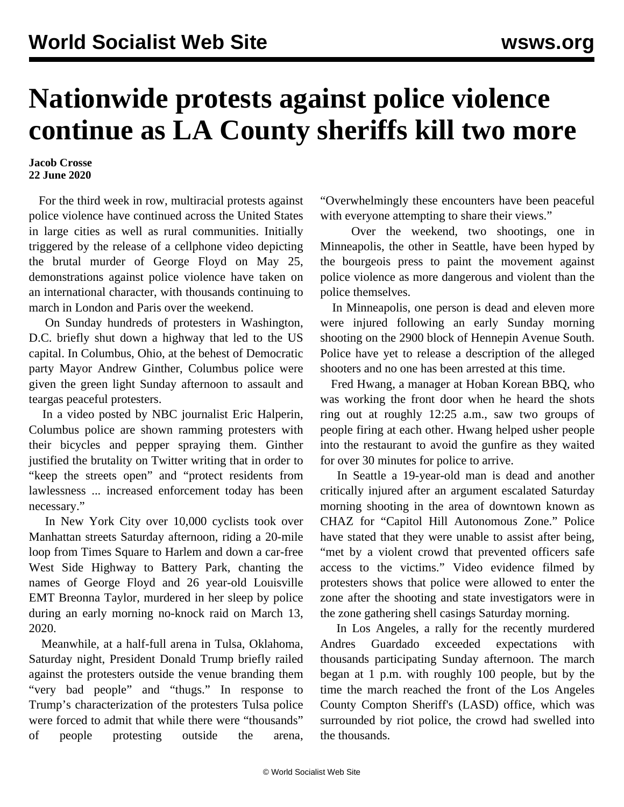## **Nationwide protests against police violence continue as LA County sheriffs kill two more**

## **Jacob Crosse 22 June 2020**

 For the third week in row, multiracial protests against police violence have continued across the United States in large cities as well as rural communities. Initially triggered by the release of a cellphone video depicting the brutal murder of George Floyd on May 25, demonstrations against police violence have taken on an international character, with thousands continuing to march in London and Paris over the weekend.

 On Sunday hundreds of protesters in Washington, D.C. briefly shut down a highway that led to the US capital. In Columbus, Ohio, at the behest of Democratic party Mayor Andrew Ginther, Columbus police were given the green light Sunday afternoon to assault and teargas peaceful protesters.

 In a video posted by NBC journalist Eric Halperin, Columbus police are shown ramming protesters with their bicycles and pepper spraying them. Ginther justified the brutality on Twitter writing that in order to "keep the streets open" and "protect residents from lawlessness ... increased enforcement today has been necessary."

 In New York City over 10,000 cyclists took over Manhattan streets Saturday afternoon, riding a 20-mile loop from Times Square to Harlem and down a car-free West Side Highway to Battery Park, chanting the names of George Floyd and 26 year-old Louisville EMT Breonna Taylor, murdered in her sleep by police during an early morning no-knock raid on March 13, 2020.

 Meanwhile, at a half-full arena in Tulsa, Oklahoma, Saturday night, President Donald Trump briefly railed against the protesters outside the venue branding them "very bad people" and "thugs." In response to Trump's characterization of the protesters Tulsa police were forced to admit that while there were "thousands" of people protesting outside the arena, "Overwhelmingly these encounters have been peaceful with everyone attempting to share their views."

 Over the weekend, two shootings, one in Minneapolis, the other in Seattle, have been hyped by the bourgeois press to paint the movement against police violence as more dangerous and violent than the police themselves.

 In Minneapolis, one person is dead and eleven more were injured following an early Sunday morning shooting on the 2900 block of Hennepin Avenue South. Police have yet to release a description of the alleged shooters and no one has been arrested at this time.

 Fred Hwang, a manager at Hoban Korean BBQ, who was working the front door when he heard the shots ring out at roughly 12:25 a.m., saw two groups of people firing at each other. Hwang helped usher people into the restaurant to avoid the gunfire as they waited for over 30 minutes for police to arrive.

 In Seattle a 19-year-old man is dead and another critically injured after an argument escalated Saturday morning shooting in the area of downtown known as CHAZ for "Capitol Hill Autonomous Zone." Police have stated that they were unable to assist after being, "met by a violent crowd that prevented officers safe access to the victims." Video evidence filmed by protesters shows that police were allowed to enter the zone after the shooting and state investigators were in the zone gathering shell casings Saturday morning.

 In Los Angeles, a rally for the recently murdered Andres Guardado exceeded expectations with thousands participating Sunday afternoon. The march began at 1 p.m. with roughly 100 people, but by the time the march reached the front of the Los Angeles County Compton Sheriff's (LASD) office, which was surrounded by riot police, the crowd had swelled into the thousands.